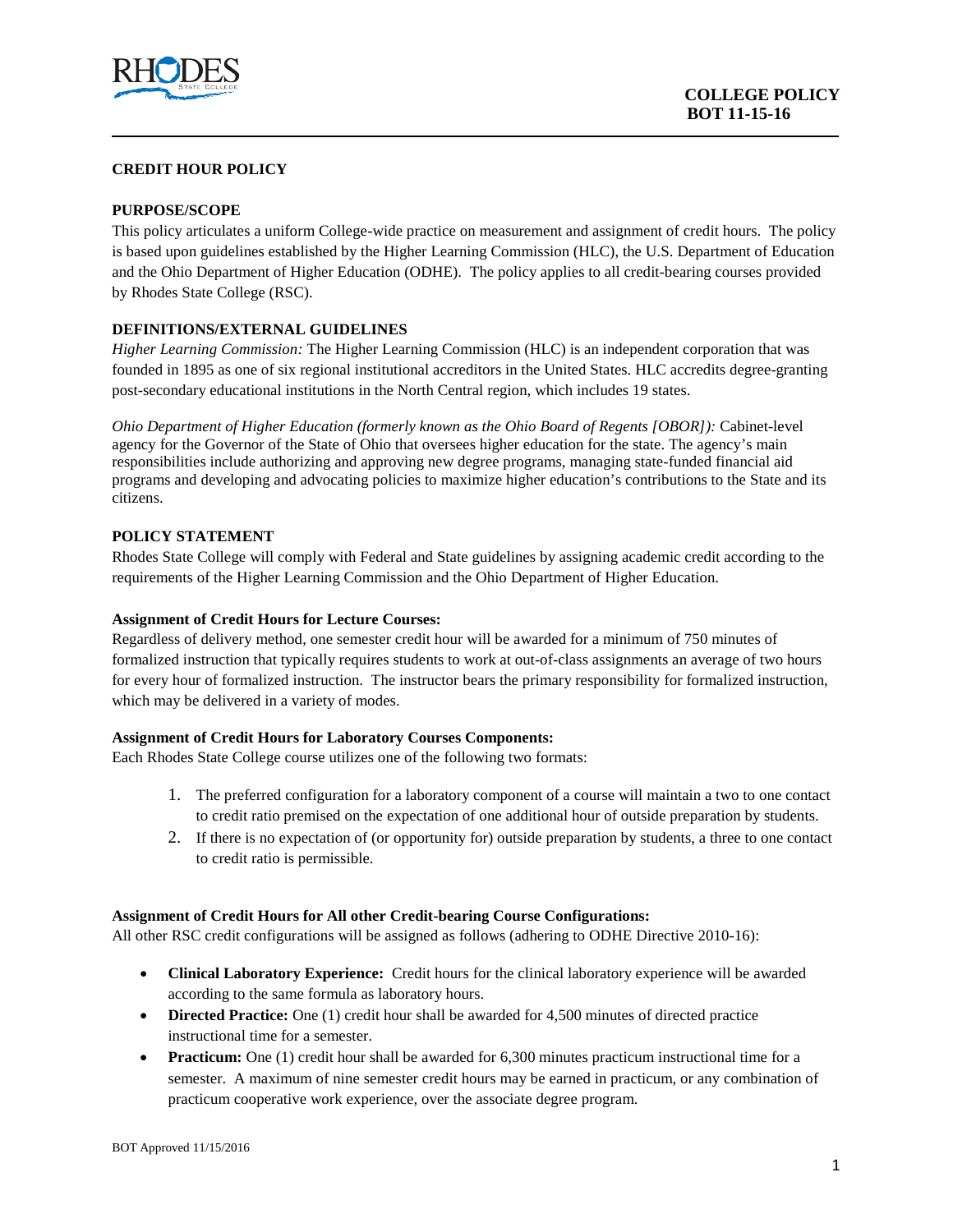

## **CREDIT HOUR POLICY**

## **PURPOSE/SCOPE**

This policy articulates a uniform College-wide practice on measurement and assignment of credit hours. The policy is based upon guidelines established by the Higher Learning Commission (HLC), the U.S. Department of Education and the Ohio Department of Higher Education (ODHE). The policy applies to all credit-bearing courses provided by Rhodes State College (RSC).

### **DEFINITIONS/EXTERNAL GUIDELINES**

*Higher Learning Commission:* The Higher Learning Commission (HLC) is an independent corporation that was founded in 1895 as one of six regional institutional accreditors in the United States. HLC accredits degree-granting post-secondary educational institutions in the North Central region, which includes 19 states.

*Ohio Department of Higher Education (formerly known as the Ohio Board of Regents [OBOR]):* Cabinet-level agency for the Governor of the State of Ohio that oversees higher education for the state. The agency's main responsibilities include authorizing and approving new degree programs, managing state-funded financial aid programs and developing and advocating policies to maximize higher education's contributions to the State and its citizens.

### **POLICY STATEMENT**

Rhodes State College will comply with Federal and State guidelines by assigning academic credit according to the requirements of the Higher Learning Commission and the Ohio Department of Higher Education.

#### **Assignment of Credit Hours for Lecture Courses:**

Regardless of delivery method, one semester credit hour will be awarded for a minimum of 750 minutes of formalized instruction that typically requires students to work at out-of-class assignments an average of two hours for every hour of formalized instruction. The instructor bears the primary responsibility for formalized instruction, which may be delivered in a variety of modes.

#### **Assignment of Credit Hours for Laboratory Courses Components:**

Each Rhodes State College course utilizes one of the following two formats:

- 1. The preferred configuration for a laboratory component of a course will maintain a two to one contact to credit ratio premised on the expectation of one additional hour of outside preparation by students.
- 2. If there is no expectation of (or opportunity for) outside preparation by students, a three to one contact to credit ratio is permissible.

# **Assignment of Credit Hours for All other Credit-bearing Course Configurations:**

All other RSC credit configurations will be assigned as follows (adhering to ODHE Directive 2010-16):

- **Clinical Laboratory Experience:** Credit hours for the clinical laboratory experience will be awarded according to the same formula as laboratory hours.
- **Directed Practice:** One (1) credit hour shall be awarded for 4,500 minutes of directed practice instructional time for a semester.
- **Practicum:** One (1) credit hour shall be awarded for 6,300 minutes practicum instructional time for a semester. A maximum of nine semester credit hours may be earned in practicum, or any combination of practicum cooperative work experience, over the associate degree program.